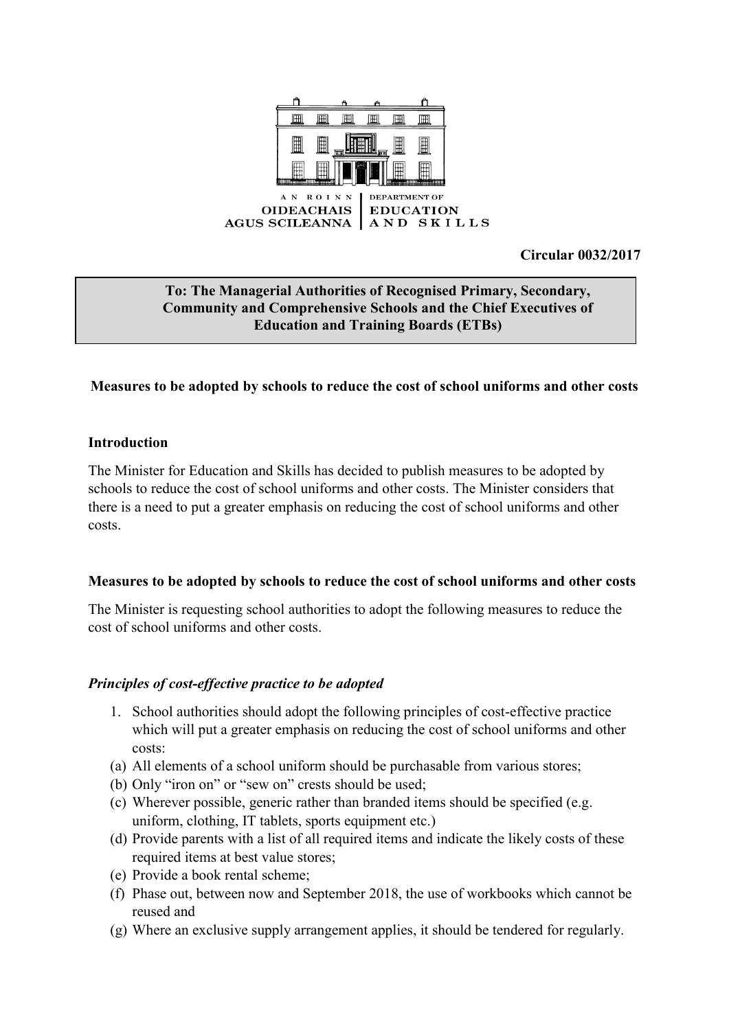

**Circular 0032/2017**

## **To: The Managerial Authorities of Recognised Primary, Secondary, Community and Comprehensive Schools and the Chief Executives of Education and Training Boards (ETBs)**

# **Measures to be adopted by schools to reduce the cost of school uniforms and other costs**

## **Introduction**

The Minister for Education and Skills has decided to publish measures to be adopted by schools to reduce the cost of school uniforms and other costs. The Minister considers that there is a need to put a greater emphasis on reducing the cost of school uniforms and other costs.

#### **Measures to be adopted by schools to reduce the cost of school uniforms and other costs**

The Minister is requesting school authorities to adopt the following measures to reduce the cost of school uniforms and other costs.

## *Principles of cost-effective practice to be adopted*

- 1. School authorities should adopt the following principles of cost-effective practice which will put a greater emphasis on reducing the cost of school uniforms and other costs:
- (a) All elements of a school uniform should be purchasable from various stores;
- (b) Only "iron on" or "sew on" crests should be used;
- (c) Wherever possible, generic rather than branded items should be specified (e.g. uniform, clothing, IT tablets, sports equipment etc.)
- (d) Provide parents with a list of all required items and indicate the likely costs of these required items at best value stores;
- (e) Provide a book rental scheme;
- (f) Phase out, between now and September 2018, the use of workbooks which cannot be reused and
- (g) Where an exclusive supply arrangement applies, it should be tendered for regularly.